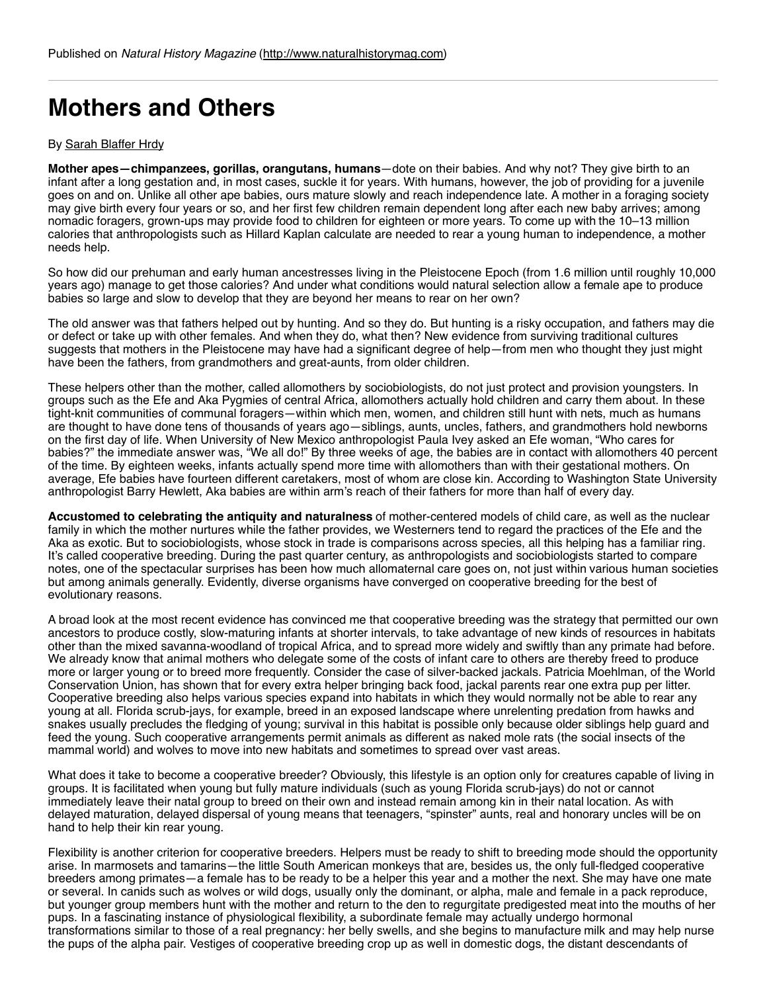# **Mothers and Others**

### By Sarah Blaffer Hrdy

**Mother apes—chimpanzees, gorillas, orangutans, humans**—dote on their babies. And why not? They give birth to an infant after a long gestation and, in most cases, suckle it for years. With humans, however, the job of providing for a juvenile goes on and on. Unlike all other ape babies, ours mature slowly and reach independence late. A mother in a foraging society may give birth every four years or so, and her first few children remain dependent long after each new baby arrives; among nomadic foragers, grown-ups may provide food to children for eighteen or more years. To come up with the 10–13 million calories that anthropologists such as Hillard Kaplan calculate are needed to rear a young human to independence, a mother needs help.

So how did our prehuman and early human ancestresses living in the Pleistocene Epoch (from 1.6 million until roughly 10,000 years ago) manage to get those calories? And under what conditions would natural selection allow a female ape to produce babies so large and slow to develop that they are beyond her means to rear on her own?

The old answer was that fathers helped out by hunting. And so they do. But hunting is a risky occupation, and fathers may die or defect or take up with other females. And when they do, what then? New evidence from surviving traditional cultures suggests that mothers in the Pleistocene may have had a significant degree of help—from men who thought they just might have been the fathers, from grandmothers and great-aunts, from older children.

These helpers other than the mother, called allomothers by sociobiologists, do not just protect and provision youngsters. In groups such as the Efe and Aka Pygmies of central Africa, allomothers actually hold children and carry them about. In these tight-knit communities of communal foragers—within which men, women, and children still hunt with nets, much as humans are thought to have done tens of thousands of years ago—siblings, aunts, uncles, fathers, and grandmothers hold newborns on the first day of life. When University of New Mexico anthropologist Paula Ivey asked an Efe woman, "Who cares for babies?" the immediate answer was, "We all do!" By three weeks of age, the babies are in contact with allomothers 40 percent of the time. By eighteen weeks, infants actually spend more time with allomothers than with their gestational mothers. On average, Efe babies have fourteen different caretakers, most of whom are close kin. According to Washington State University anthropologist Barry Hewlett, Aka babies are within arm's reach of their fathers for more than half of every day.

**Accustomed to celebrating the antiquity and naturalness** of mother-centered models of child care, as well as the nuclear family in which the mother nurtures while the father provides, we Westerners tend to regard the practices of the Efe and the Aka as exotic. But to sociobiologists, whose stock in trade is comparisons across species, all this helping has a familiar ring. It's called cooperative breeding. During the past quarter century, as anthropologists and sociobiologists started to compare notes, one of the spectacular surprises has been how much allomaternal care goes on, not just within various human societies but among animals generally. Evidently, diverse organisms have converged on cooperative breeding for the best of evolutionary reasons.

A broad look at the most recent evidence has convinced me that cooperative breeding was the strategy that permitted our own ancestors to produce costly, slow-maturing infants at shorter intervals, to take advantage of new kinds of resources in habitats other than the mixed savanna-woodland of tropical Africa, and to spread more widely and swiftly than any primate had before. We already know that animal mothers who delegate some of the costs of infant care to others are thereby freed to produce more or larger young or to breed more frequently. Consider the case of silver-backed jackals. Patricia Moehlman, of the World Conservation Union, has shown that for every extra helper bringing back food, jackal parents rear one extra pup per litter. Cooperative breeding also helps various species expand into habitats in which they would normally not be able to rear any young at all. Florida scrub-jays, for example, breed in an exposed landscape where unrelenting predation from hawks and snakes usually precludes the fledging of young; survival in this habitat is possible only because older siblings help guard and feed the young. Such cooperative arrangements permit animals as different as naked mole rats (the social insects of the mammal world) and wolves to move into new habitats and sometimes to spread over vast areas.

What does it take to become a cooperative breeder? Obviously, this lifestyle is an option only for creatures capable of living in groups. It is facilitated when young but fully mature individuals (such as young Florida scrub-jays) do not or cannot immediately leave their natal group to breed on their own and instead remain among kin in their natal location. As with delayed maturation, delayed dispersal of young means that teenagers, "spinster" aunts, real and honorary uncles will be on hand to help their kin rear young.

Flexibility is another criterion for cooperative breeders. Helpers must be ready to shift to breeding mode should the opportunity arise. In marmosets and tamarins—the little South American monkeys that are, besides us, the only full-fledged cooperative breeders among primates—a female has to be ready to be a helper this year and a mother the next. She may have one mate or several. In canids such as wolves or wild dogs, usually only the dominant, or alpha, male and female in a pack reproduce, but younger group members hunt with the mother and return to the den to regurgitate predigested meat into the mouths of her pups. In a fascinating instance of physiological flexibility, a subordinate female may actually undergo hormonal transformations similar to those of a real pregnancy: her belly swells, and she begins to manufacture milk and may help nurse the pups of the alpha pair. Vestiges of cooperative breeding crop up as well in domestic dogs, the distant descendants of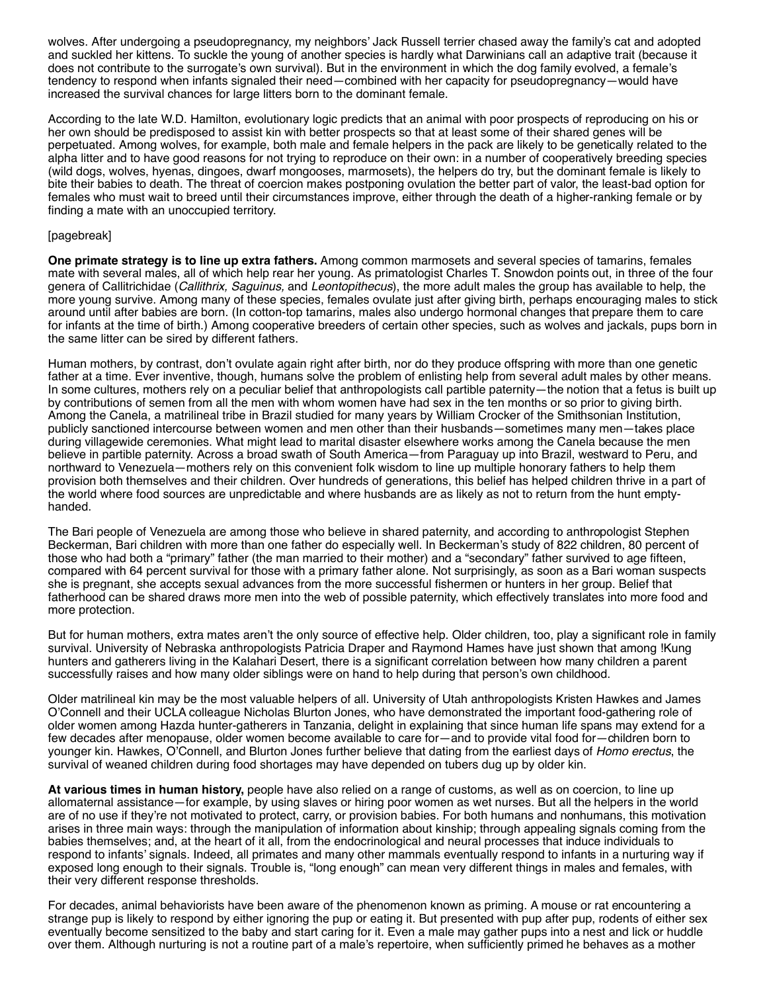wolves. After undergoing a pseudopregnancy, my neighbors' Jack Russell terrier chased away the family's cat and adopted and suckled her kittens. To suckle the young of another species is hardly what Darwinians call an adaptive trait (because it does not contribute to the surrogate's own survival). But in the environment in which the dog family evolved, a female's tendency to respond when infants signaled their need—combined with her capacity for pseudopregnancy—would have increased the survival chances for large litters born to the dominant female.

According to the late W.D. Hamilton, evolutionary logic predicts that an animal with poor prospects of reproducing on his or her own should be predisposed to assist kin with better prospects so that at least some of their shared genes will be perpetuated. Among wolves, for example, both male and female helpers in the pack are likely to be genetically related to the alpha litter and to have good reasons for not trying to reproduce on their own: in a number of cooperatively breeding species (wild dogs, wolves, hyenas, dingoes, dwarf mongooses, marmosets), the helpers do try, but the dominant female is likely to bite their babies to death. The threat of coercion makes postponing ovulation the better part of valor, the least-bad option for females who must wait to breed until their circumstances improve, either through the death of a higher-ranking female or by finding a mate with an unoccupied territory.

#### [pagebreak]

**One primate strategy is to line up extra fathers.** Among common marmosets and several species of tamarins, females mate with several males, all of which help rear her young. As primatologist Charles T. Snowdon points out, in three of the four genera of Callitrichidae (*Callithrix, Saguinus,* and *Leontopithecus*), the more adult males the group has available to help, the more young survive. Among many of these species, females ovulate just after giving birth, perhaps encouraging males to stick around until after babies are born. (In cotton-top tamarins, males also undergo hormonal changes that prepare them to care for infants at the time of birth.) Among cooperative breeders of certain other species, such as wolves and jackals, pups born in the same litter can be sired by different fathers.

Human mothers, by contrast, don't ovulate again right after birth, nor do they produce offspring with more than one genetic father at a time. Ever inventive, though, humans solve the problem of enlisting help from several adult males by other means. In some cultures, mothers rely on a peculiar belief that anthropologists call partible paternity—the notion that a fetus is built up by contributions of semen from all the men with whom women have had sex in the ten months or so prior to giving birth. Among the Canela, a matrilineal tribe in Brazil studied for many years by William Crocker of the Smithsonian Institution, publicly sanctioned intercourse between women and men other than their husbands—sometimes many men—takes place during villagewide ceremonies. What might lead to marital disaster elsewhere works among the Canela because the men believe in partible paternity. Across a broad swath of South America—from Paraguay up into Brazil, westward to Peru, and northward to Venezuela—mothers rely on this convenient folk wisdom to line up multiple honorary fathers to help them provision both themselves and their children. Over hundreds of generations, this belief has helped children thrive in a part of the world where food sources are unpredictable and where husbands are as likely as not to return from the hunt emptyhanded.

The Bari people of Venezuela are among those who believe in shared paternity, and according to anthropologist Stephen Beckerman, Bari children with more than one father do especially well. In Beckerman's study of 822 children, 80 percent of those who had both a "primary" father (the man married to their mother) and a "secondary" father survived to age fifteen, compared with 64 percent survival for those with a primary father alone. Not surprisingly, as soon as a Bari woman suspects she is pregnant, she accepts sexual advances from the more successful fishermen or hunters in her group. Belief that fatherhood can be shared draws more men into the web of possible paternity, which effectively translates into more food and more protection.

But for human mothers, extra mates aren't the only source of effective help. Older children, too, play a significant role in family survival. University of Nebraska anthropologists Patricia Draper and Raymond Hames have just shown that among !Kung hunters and gatherers living in the Kalahari Desert, there is a significant correlation between how many children a parent successfully raises and how many older siblings were on hand to help during that person's own childhood.

Older matrilineal kin may be the most valuable helpers of all. University of Utah anthropologists Kristen Hawkes and James O'Connell and their UCLA colleague Nicholas Blurton Jones, who have demonstrated the important food-gathering role of older women among Hazda hunter-gatherers in Tanzania, delight in explaining that since human life spans may extend for a few decades after menopause, older women become available to care for—and to provide vital food for—children born to younger kin. Hawkes, O'Connell, and Blurton Jones further believe that dating from the earliest days of *Homo erectus*, the survival of weaned children during food shortages may have depended on tubers dug up by older kin.

**At various times in human history,** people have also relied on a range of customs, as well as on coercion, to line up allomaternal assistance—for example, by using slaves or hiring poor women as wet nurses. But all the helpers in the world are of no use if they're not motivated to protect, carry, or provision babies. For both humans and nonhumans, this motivation arises in three main ways: through the manipulation of information about kinship; through appealing signals coming from the babies themselves; and, at the heart of it all, from the endocrinological and neural processes that induce individuals to respond to infants' signals. Indeed, all primates and many other mammals eventually respond to infants in a nurturing way if exposed long enough to their signals. Trouble is, "long enough" can mean very different things in males and females, with their very different response thresholds.

For decades, animal behaviorists have been aware of the phenomenon known as priming. A mouse or rat encountering a strange pup is likely to respond by either ignoring the pup or eating it. But presented with pup after pup, rodents of either sex eventually become sensitized to the baby and start caring for it. Even a male may gather pups into a nest and lick or huddle over them. Although nurturing is not a routine part of a male's repertoire, when sufficiently primed he behaves as a mother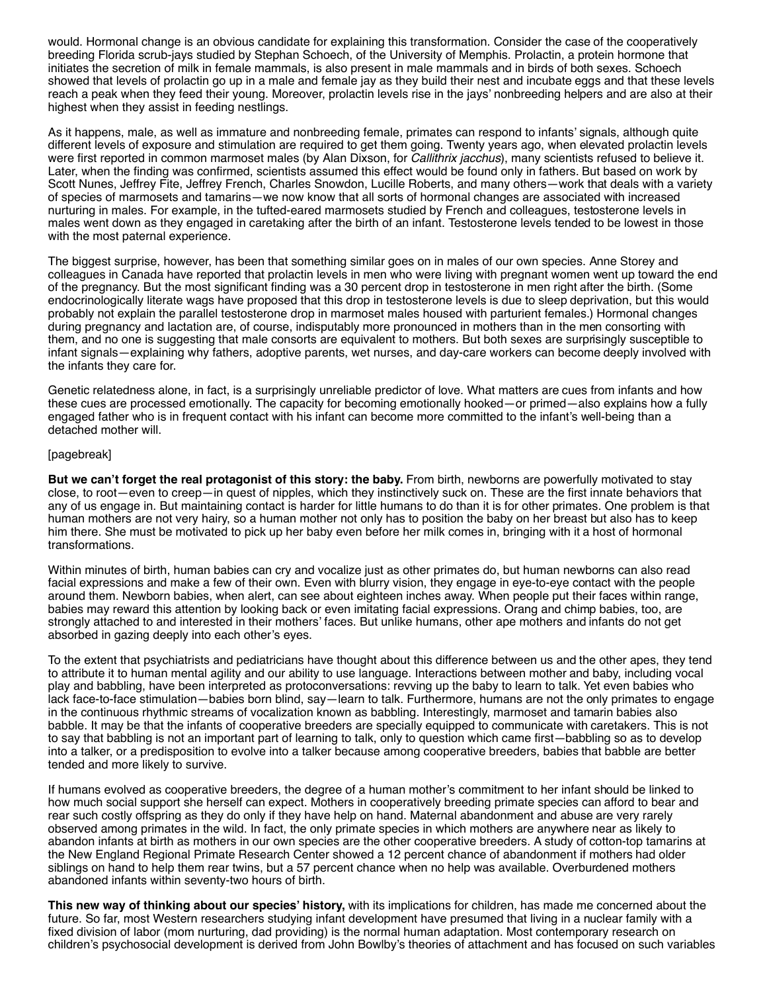would. Hormonal change is an obvious candidate for explaining this transformation. Consider the case of the cooperatively breeding Florida scrub-jays studied by Stephan Schoech, of the University of Memphis. Prolactin, a protein hormone that initiates the secretion of milk in female mammals, is also present in male mammals and in birds of both sexes. Schoech showed that levels of prolactin go up in a male and female jay as they build their nest and incubate eggs and that these levels reach a peak when they feed their young. Moreover, prolactin levels rise in the jays' nonbreeding helpers and are also at their highest when they assist in feeding nestlings.

As it happens, male, as well as immature and nonbreeding female, primates can respond to infants' signals, although quite different levels of exposure and stimulation are required to get them going. Twenty years ago, when elevated prolactin levels were first reported in common marmoset males (by Alan Dixson, for *Callithrix jacchus*), many scientists refused to believe it. Later, when the finding was confirmed, scientists assumed this effect would be found only in fathers. But based on work by Scott Nunes, Jeffrey Fite, Jeffrey French, Charles Snowdon, Lucille Roberts, and many others—work that deals with a variety of species of marmosets and tamarins—we now know that all sorts of hormonal changes are associated with increased nurturing in males. For example, in the tufted-eared marmosets studied by French and colleagues, testosterone levels in males went down as they engaged in caretaking after the birth of an infant. Testosterone levels tended to be lowest in those with the most paternal experience.

The biggest surprise, however, has been that something similar goes on in males of our own species. Anne Storey and colleagues in Canada have reported that prolactin levels in men who were living with pregnant women went up toward the end of the pregnancy. But the most significant finding was a 30 percent drop in testosterone in men right after the birth. (Some endocrinologically literate wags have proposed that this drop in testosterone levels is due to sleep deprivation, but this would probably not explain the parallel testosterone drop in marmoset males housed with parturient females.) Hormonal changes during pregnancy and lactation are, of course, indisputably more pronounced in mothers than in the men consorting with them, and no one is suggesting that male consorts are equivalent to mothers. But both sexes are surprisingly susceptible to infant signals—explaining why fathers, adoptive parents, wet nurses, and day-care workers can become deeply involved with the infants they care for.

Genetic relatedness alone, in fact, is a surprisingly unreliable predictor of love. What matters are cues from infants and how these cues are processed emotionally. The capacity for becoming emotionally hooked—or primed—also explains how a fully engaged father who is in frequent contact with his infant can become more committed to the infant's well-being than a detached mother will.

#### [pagebreak]

**But we can't forget the real protagonist of this story: the baby.** From birth, newborns are powerfully motivated to stay close, to root—even to creep—in quest of nipples, which they instinctively suck on. These are the first innate behaviors that any of us engage in. But maintaining contact is harder for little humans to do than it is for other primates. One problem is that human mothers are not very hairy, so a human mother not only has to position the baby on her breast but also has to keep him there. She must be motivated to pick up her baby even before her milk comes in, bringing with it a host of hormonal transformations.

Within minutes of birth, human babies can cry and vocalize just as other primates do, but human newborns can also read facial expressions and make a few of their own. Even with blurry vision, they engage in eye-to-eye contact with the people around them. Newborn babies, when alert, can see about eighteen inches away. When people put their faces within range, babies may reward this attention by looking back or even imitating facial expressions. Orang and chimp babies, too, are strongly attached to and interested in their mothers' faces. But unlike humans, other ape mothers and infants do not get absorbed in gazing deeply into each other's eyes.

To the extent that psychiatrists and pediatricians have thought about this difference between us and the other apes, they tend to attribute it to human mental agility and our ability to use language. Interactions between mother and baby, including vocal play and babbling, have been interpreted as protoconversations: revving up the baby to learn to talk. Yet even babies who lack face-to-face stimulation—babies born blind, say—learn to talk. Furthermore, humans are not the only primates to engage in the continuous rhythmic streams of vocalization known as babbling. Interestingly, marmoset and tamarin babies also babble. It may be that the infants of cooperative breeders are specially equipped to communicate with caretakers. This is not to say that babbling is not an important part of learning to talk, only to question which came first—babbling so as to develop into a talker, or a predisposition to evolve into a talker because among cooperative breeders, babies that babble are better tended and more likely to survive.

If humans evolved as cooperative breeders, the degree of a human mother's commitment to her infant should be linked to how much social support she herself can expect. Mothers in cooperatively breeding primate species can afford to bear and rear such costly offspring as they do only if they have help on hand. Maternal abandonment and abuse are very rarely observed among primates in the wild. In fact, the only primate species in which mothers are anywhere near as likely to abandon infants at birth as mothers in our own species are the other cooperative breeders. A study of cotton-top tamarins at the New England Regional Primate Research Center showed a 12 percent chance of abandonment if mothers had older siblings on hand to help them rear twins, but a 57 percent chance when no help was available. Overburdened mothers abandoned infants within seventy-two hours of birth.

**This new way of thinking about our species' history,** with its implications for children, has made me concerned about the future. So far, most Western researchers studying infant development have presumed that living in a nuclear family with a fixed division of labor (mom nurturing, dad providing) is the normal human adaptation. Most contemporary research on children's psychosocial development is derived from John Bowlby's theories of attachment and has focused on such variables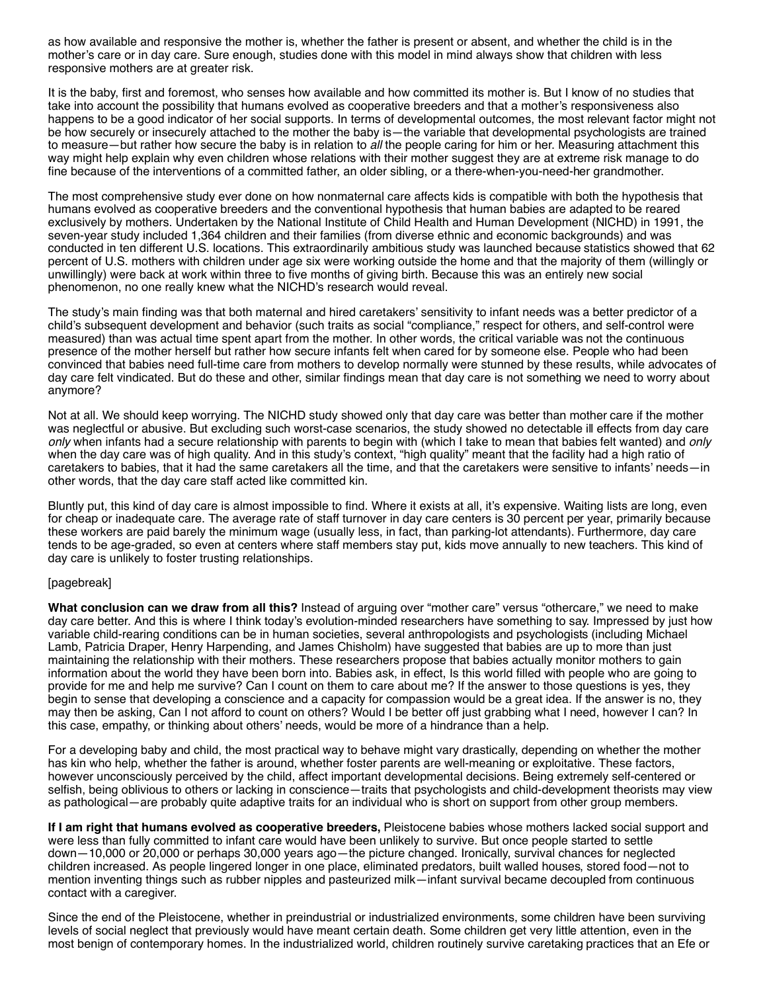as how available and responsive the mother is, whether the father is present or absent, and whether the child is in the mother's care or in day care. Sure enough, studies done with this model in mind always show that children with less responsive mothers are at greater risk.

It is the baby, first and foremost, who senses how available and how committed its mother is. But I know of no studies that take into account the possibility that humans evolved as cooperative breeders and that a mother's responsiveness also happens to be a good indicator of her social supports. In terms of developmental outcomes, the most relevant factor might not be how securely or insecurely attached to the mother the baby is—the variable that developmental psychologists are trained to measure—but rather how secure the baby is in relation to *all* the people caring for him or her. Measuring attachment this way might help explain why even children whose relations with their mother suggest they are at extreme risk manage to do fine because of the interventions of a committed father, an older sibling, or a there-when-you-need-her grandmother.

The most comprehensive study ever done on how nonmaternal care affects kids is compatible with both the hypothesis that humans evolved as cooperative breeders and the conventional hypothesis that human babies are adapted to be reared exclusively by mothers. Undertaken by the National Institute of Child Health and Human Development (NICHD) in 1991, the seven-year study included 1,364 children and their families (from diverse ethnic and economic backgrounds) and was conducted in ten different U.S. locations. This extraordinarily ambitious study was launched because statistics showed that 62 percent of U.S. mothers with children under age six were working outside the home and that the majority of them (willingly or unwillingly) were back at work within three to five months of giving birth. Because this was an entirely new social phenomenon, no one really knew what the NICHD's research would reveal.

The study's main finding was that both maternal and hired caretakers' sensitivity to infant needs was a better predictor of a child's subsequent development and behavior (such traits as social "compliance," respect for others, and self-control were measured) than was actual time spent apart from the mother. In other words, the critical variable was not the continuous presence of the mother herself but rather how secure infants felt when cared for by someone else. People who had been convinced that babies need full-time care from mothers to develop normally were stunned by these results, while advocates of day care felt vindicated. But do these and other, similar findings mean that day care is not something we need to worry about anymore?

Not at all. We should keep worrying. The NICHD study showed only that day care was better than mother care if the mother was neglectful or abusive. But excluding such worst-case scenarios, the study showed no detectable ill effects from day care *only* when infants had a secure relationship with parents to begin with (which I take to mean that babies felt wanted) and *only* when the day care was of high quality. And in this study's context, "high quality" meant that the facility had a high ratio of caretakers to babies, that it had the same caretakers all the time, and that the caretakers were sensitive to infants' needs—in other words, that the day care staff acted like committed kin.

Bluntly put, this kind of day care is almost impossible to find. Where it exists at all, it's expensive. Waiting lists are long, even for cheap or inadequate care. The average rate of staff turnover in day care centers is 30 percent per year, primarily because these workers are paid barely the minimum wage (usually less, in fact, than parking-lot attendants). Furthermore, day care tends to be age-graded, so even at centers where staff members stay put, kids move annually to new teachers. This kind of day care is unlikely to foster trusting relationships.

## [pagebreak]

**What conclusion can we draw from all this?** Instead of arguing over "mother care" versus "othercare," we need to make day care better. And this is where I think today's evolution-minded researchers have something to say. Impressed by just how variable child-rearing conditions can be in human societies, several anthropologists and psychologists (including Michael Lamb, Patricia Draper, Henry Harpending, and James Chisholm) have suggested that babies are up to more than just maintaining the relationship with their mothers. These researchers propose that babies actually monitor mothers to gain information about the world they have been born into. Babies ask, in effect, Is this world filled with people who are going to provide for me and help me survive? Can I count on them to care about me? If the answer to those questions is yes, they begin to sense that developing a conscience and a capacity for compassion would be a great idea. If the answer is no, they may then be asking, Can I not afford to count on others? Would I be better off just grabbing what I need, however I can? In this case, empathy, or thinking about others' needs, would be more of a hindrance than a help.

For a developing baby and child, the most practical way to behave might vary drastically, depending on whether the mother has kin who help, whether the father is around, whether foster parents are well-meaning or exploitative. These factors, however unconsciously perceived by the child, affect important developmental decisions. Being extremely self-centered or selfish, being oblivious to others or lacking in conscience—traits that psychologists and child-development theorists may view as pathological—are probably quite adaptive traits for an individual who is short on support from other group members.

**If I am right that humans evolved as cooperative breeders,** Pleistocene babies whose mothers lacked social support and were less than fully committed to infant care would have been unlikely to survive. But once people started to settle down—10,000 or 20,000 or perhaps 30,000 years ago—the picture changed. Ironically, survival chances for neglected children increased. As people lingered longer in one place, eliminated predators, built walled houses, stored food—not to mention inventing things such as rubber nipples and pasteurized milk—infant survival became decoupled from continuous contact with a caregiver.

Since the end of the Pleistocene, whether in preindustrial or industrialized environments, some children have been surviving levels of social neglect that previously would have meant certain death. Some children get very little attention, even in the most benign of contemporary homes. In the industrialized world, children routinely survive caretaking practices that an Efe or